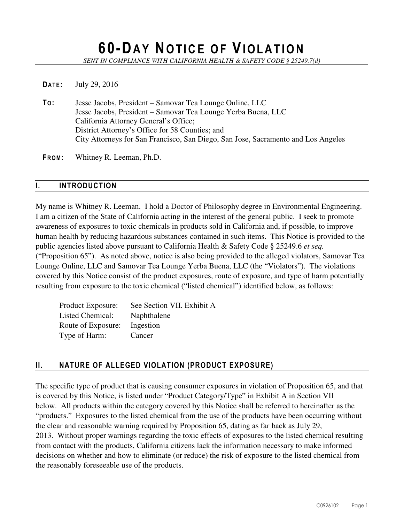# **60-DA Y NO T I C E O F VI O L A T I O N**

*SENT IN COMPLIANCE WITH CALIFORNIA HEALTH & SAFETY CODE § 25249.7(d)* 

#### **DATE:** July 29, 2016

**TO:** Jesse Jacobs, President – Samovar Tea Lounge Online, LLC Jesse Jacobs, President – Samovar Tea Lounge Yerba Buena, LLC California Attorney General's Office; District Attorney's Office for 58 Counties; and City Attorneys for San Francisco, San Diego, San Jose, Sacramento and Los Angeles

**FROM:** Whitney R. Leeman, Ph.D.

#### **I. INTRODUCTION**

My name is Whitney R. Leeman. I hold a Doctor of Philosophy degree in Environmental Engineering. I am a citizen of the State of California acting in the interest of the general public. I seek to promote awareness of exposures to toxic chemicals in products sold in California and, if possible, to improve human health by reducing hazardous substances contained in such items. This Notice is provided to the public agencies listed above pursuant to California Health & Safety Code § 25249.6 *et seq.* ("Proposition 65"). As noted above, notice is also being provided to the alleged violators, Samovar Tea Lounge Online, LLC and Samovar Tea Lounge Yerba Buena, LLC (the "Violators"). The violations covered by this Notice consist of the product exposures, route of exposure, and type of harm potentially resulting from exposure to the toxic chemical ("listed chemical") identified below, as follows:

| Product Exposure:       | See Section VII. Exhibit A |
|-------------------------|----------------------------|
| <b>Listed Chemical:</b> | Naphthalene                |
| Route of Exposure:      | Ingestion                  |
| Type of Harm:           | Cancer                     |

## **II. NATURE OF ALLEGED VIOLATION (PRODUCT EXPOSURE)**

The specific type of product that is causing consumer exposures in violation of Proposition 65, and that is covered by this Notice, is listed under "Product Category/Type" in Exhibit A in Section VII below. All products within the category covered by this Notice shall be referred to hereinafter as the "products." Exposures to the listed chemical from the use of the products have been occurring without the clear and reasonable warning required by Proposition 65, dating as far back as July 29, 2013. Without proper warnings regarding the toxic effects of exposures to the listed chemical resulting from contact with the products, California citizens lack the information necessary to make informed decisions on whether and how to eliminate (or reduce) the risk of exposure to the listed chemical from the reasonably foreseeable use of the products.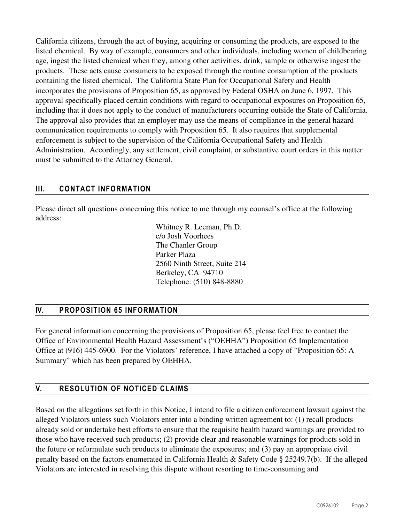California citizens, through the act of buying, acquiring or consuming the products, are exposed to the listed chemical. By way of example, consumers and other individuals, including women of childbearing age, ingest the listed chemical when they, among other activities, drink, sample or otherwise ingest the products. These acts cause consumers to be exposed through the routine consumption of the products containing the listed chemical. The California State Plan for Occupational Safety and Health incorporates the provisions of Proposition 65, as approved by Federal OSHA on June 6, 1997. This approval specifically placed certain conditions with regard to occupational exposures on Proposition 65, including that it does not apply to the conduct of manufacturers occurring outside the State of California. The approval also provides that an employer may use the means of compliance in the general hazard communication requirements to comply with Proposition 65. It also requires that supplemental enforcement is subject to the supervision of the California Occupational Safety and Health Administration. Accordingly, any settlement, civil complaint, or substantive court orders in this matter must be submitted to the Attorney General.

## **III. CONTACT INFORMATION**

Please direct all questions concerning this notice to me through my counsel's office at the following address:

> Whitney R. Leeman, Ph.D. c/o Josh Voorhees The Chanler Group Parker Plaza 2560 Ninth Street, Suite 214 Berkeley, CA 94710 Telephone: (510) 848-8880

## **IV. PROPOSITION 65 INFORMATION**

For general information concerning the provisions of Proposition 65, please feel free to contact the Office of Environmental Health Hazard Assessment's ("OEHHA") Proposition 65 Implementation Office at (916) 445-6900. For the Violators' reference, I have attached a copy of "Proposition 65: A Summary" which has been prepared by OEHHA.

## **V. RESOLUTION OF NOTICED CLAIMS**

Based on the allegations set forth in this Notice, I intend to file a citizen enforcement lawsuit against the alleged Violators unless such Violators enter into a binding written agreement to: (1) recall products already sold or undertake best efforts to ensure that the requisite health hazard warnings are provided to those who have received such products; (2) provide clear and reasonable warnings for products sold in the future or reformulate such products to eliminate the exposures; and (3) pay an appropriate civil penalty based on the factors enumerated in California Health & Safety Code § 25249.7(b). If the alleged Violators are interested in resolving this dispute without resorting to time-consuming and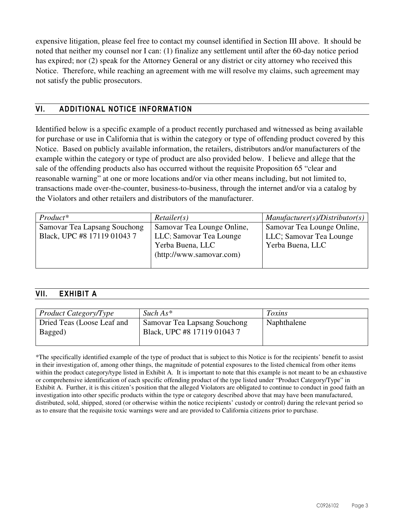expensive litigation, please feel free to contact my counsel identified in Section III above. It should be noted that neither my counsel nor I can: (1) finalize any settlement until after the 60-day notice period has expired; nor (2) speak for the Attorney General or any district or city attorney who received this Notice. Therefore, while reaching an agreement with me will resolve my claims, such agreement may not satisfy the public prosecutors.

## **VI. ADDITIONAL NOTICE INFORMATION**

Identified below is a specific example of a product recently purchased and witnessed as being available for purchase or use in California that is within the category or type of offending product covered by this Notice. Based on publicly available information, the retailers, distributors and/or manufacturers of the example within the category or type of product are also provided below. I believe and allege that the sale of the offending products also has occurred without the requisite Proposition 65 "clear and reasonable warning" at one or more locations and/or via other means including, but not limited to, transactions made over-the-counter, business-to-business, through the internet and/or via a catalog by the Violators and other retailers and distributors of the manufacturer.

| Product*                     | Retailer(s)                | $M$ anufacturer(s)/Distributor(s) |
|------------------------------|----------------------------|-----------------------------------|
| Samovar Tea Lapsang Souchong | Samovar Tea Lounge Online, | Samovar Tea Lounge Online,        |
| Black, UPC #8 17119 01043 7  | LLC; Samovar Tea Lounge    | LLC; Samovar Tea Lounge           |
|                              | Yerba Buena, LLC           | Yerba Buena, LLC                  |
|                              | (http://www.samovar.com)   |                                   |
|                              |                            |                                   |

## **VII. EXHIBIT A**

| <i>Product Category/Type</i>          | $Such As*$                                                  | <i>Toxins</i> |
|---------------------------------------|-------------------------------------------------------------|---------------|
| Dried Teas (Loose Leaf and<br>Bagged) | Samovar Tea Lapsang Souchong<br>Black, UPC #8 17119 01043 7 | Naphthalene   |

\*The specifically identified example of the type of product that is subject to this Notice is for the recipients' benefit to assist in their investigation of, among other things, the magnitude of potential exposures to the listed chemical from other items within the product category/type listed in Exhibit A. It is important to note that this example is not meant to be an exhaustive or comprehensive identification of each specific offending product of the type listed under "Product Category/Type" in Exhibit A. Further, it is this citizen's position that the alleged Violators are obligated to continue to conduct in good faith an investigation into other specific products within the type or category described above that may have been manufactured, distributed, sold, shipped, stored (or otherwise within the notice recipients' custody or control) during the relevant period so as to ensure that the requisite toxic warnings were and are provided to California citizens prior to purchase.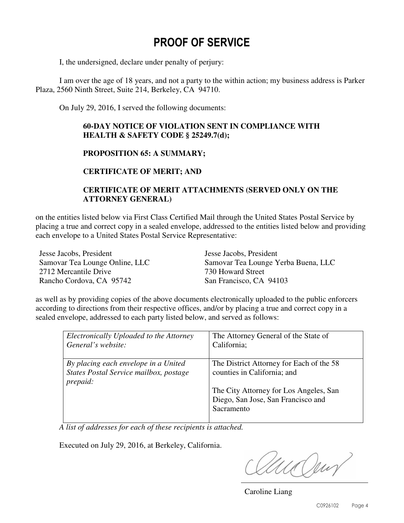## **PROOF OF SERVICE**

I, the undersigned, declare under penalty of perjury:

 I am over the age of 18 years, and not a party to the within action; my business address is Parker Plaza, 2560 Ninth Street, Suite 214, Berkeley, CA 94710.

On July 29, 2016, I served the following documents:

#### **60-DAY NOTICE OF VIOLATION SENT IN COMPLIANCE WITH HEALTH & SAFETY CODE § 25249.7(d);**

#### **PROPOSITION 65: A SUMMARY;**

**CERTIFICATE OF MERIT; AND** 

#### **CERTIFICATE OF MERIT ATTACHMENTS (SERVED ONLY ON THE ATTORNEY GENERAL)**

on the entities listed below via First Class Certified Mail through the United States Postal Service by placing a true and correct copy in a sealed envelope, addressed to the entities listed below and providing each envelope to a United States Postal Service Representative:

Jesse Jacobs, President Samovar Tea Lounge Online, LLC 2712 Mercantile Drive Rancho Cordova, CA 95742

Jesse Jacobs, President Samovar Tea Lounge Yerba Buena, LLC 730 Howard Street San Francisco, CA 94103

as well as by providing copies of the above documents electronically uploaded to the public enforcers according to directions from their respective offices, and/or by placing a true and correct copy in a sealed envelope, addressed to each party listed below, and served as follows:

| Electronically Uploaded to the Attorney | The Attorney General of the State of     |
|-----------------------------------------|------------------------------------------|
| General's website:                      | California;                              |
|                                         |                                          |
| By placing each envelope in a United    | The District Attorney for Each of the 58 |
| States Postal Service mailbox, postage  | counties in California; and              |
| prepaid:                                |                                          |
|                                         | The City Attorney for Los Angeles, San   |
|                                         | Diego, San Jose, San Francisco and       |
|                                         | Sacramento                               |
|                                         |                                          |

 *A list of addresses for each of these recipients is attached.* 

Executed on July 29, 2016, at Berkeley, California.

ua Ven

Caroline Liang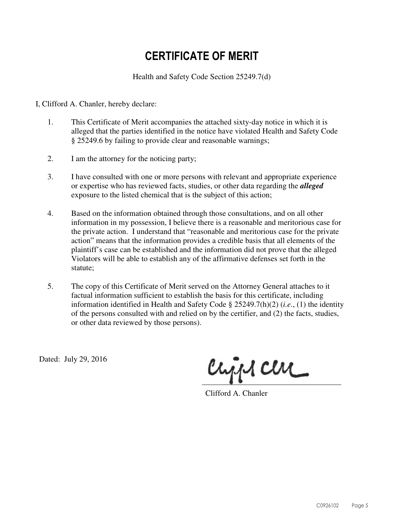# **CERTIFICATE OF MERIT**

Health and Safety Code Section 25249.7(d)

I, Clifford A. Chanler, hereby declare:

- 1. This Certificate of Merit accompanies the attached sixty-day notice in which it is alleged that the parties identified in the notice have violated Health and Safety Code § 25249.6 by failing to provide clear and reasonable warnings;
- 2. I am the attorney for the noticing party;
- 3. I have consulted with one or more persons with relevant and appropriate experience or expertise who has reviewed facts, studies, or other data regarding the *alleged* exposure to the listed chemical that is the subject of this action;
- 4. Based on the information obtained through those consultations, and on all other information in my possession, I believe there is a reasonable and meritorious case for the private action. I understand that "reasonable and meritorious case for the private action" means that the information provides a credible basis that all elements of the plaintiff's case can be established and the information did not prove that the alleged Violators will be able to establish any of the affirmative defenses set forth in the statute;
- 5. The copy of this Certificate of Merit served on the Attorney General attaches to it factual information sufficient to establish the basis for this certificate, including information identified in Health and Safety Code § 25249.7(h)(2) (*i.e*., (1) the identity of the persons consulted with and relied on by the certifier, and (2) the facts, studies, or other data reviewed by those persons).

Dated: July 29, 2016

crips cere

Clifford A. Chanler